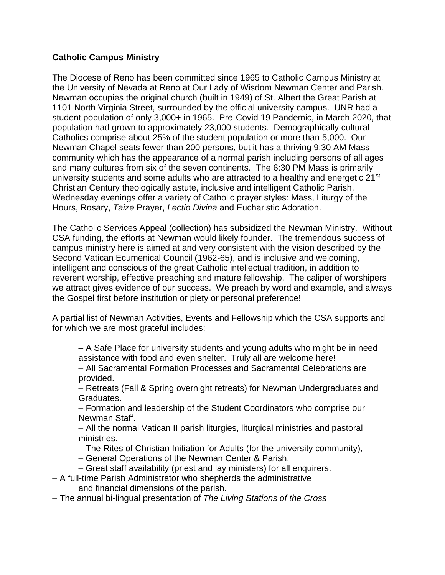## **Catholic Campus Ministry**

The Diocese of Reno has been committed since 1965 to Catholic Campus Ministry at the University of Nevada at Reno at Our Lady of Wisdom Newman Center and Parish. Newman occupies the original church (built in 1949) of St. Albert the Great Parish at 1101 North Virginia Street, surrounded by the official university campus. UNR had a student population of only 3,000+ in 1965. Pre-Covid 19 Pandemic, in March 2020, that population had grown to approximately 23,000 students. Demographically cultural Catholics comprise about 25% of the student population or more than 5,000. Our Newman Chapel seats fewer than 200 persons, but it has a thriving 9:30 AM Mass community which has the appearance of a normal parish including persons of all ages and many cultures from six of the seven continents. The 6:30 PM Mass is primarily university students and some adults who are attracted to a healthy and energetic  $21^{st}$ Christian Century theologically astute, inclusive and intelligent Catholic Parish. Wednesday evenings offer a variety of Catholic prayer styles: Mass, Liturgy of the Hours, Rosary, *Taize* Prayer, *Lectio Divina* and Eucharistic Adoration.

The Catholic Services Appeal (collection) has subsidized the Newman Ministry. Without CSA funding, the efforts at Newman would likely founder. The tremendous success of campus ministry here is aimed at and very consistent with the vision described by the Second Vatican Ecumenical Council (1962-65), and is inclusive and welcoming, intelligent and conscious of the great Catholic intellectual tradition, in addition to reverent worship, effective preaching and mature fellowship. The caliper of worshipers we attract gives evidence of our success. We preach by word and example, and always the Gospel first before institution or piety or personal preference!

A partial list of Newman Activities, Events and Fellowship which the CSA supports and for which we are most grateful includes:

– A Safe Place for university students and young adults who might be in need assistance with food and even shelter. Truly all are welcome here!

– All Sacramental Formation Processes and Sacramental Celebrations are provided.

– Retreats (Fall & Spring overnight retreats) for Newman Undergraduates and Graduates.

– Formation and leadership of the Student Coordinators who comprise our Newman Staff.

– All the normal Vatican II parish liturgies, liturgical ministries and pastoral ministries.

– The Rites of Christian Initiation for Adults (for the university community),

– General Operations of the Newman Center & Parish.

– Great staff availability (priest and lay ministers) for all enquirers.

- A full-time Parish Administrator who shepherds the administrative and financial dimensions of the parish.
- The annual bi-lingual presentation of *The Living Stations of the Cross*